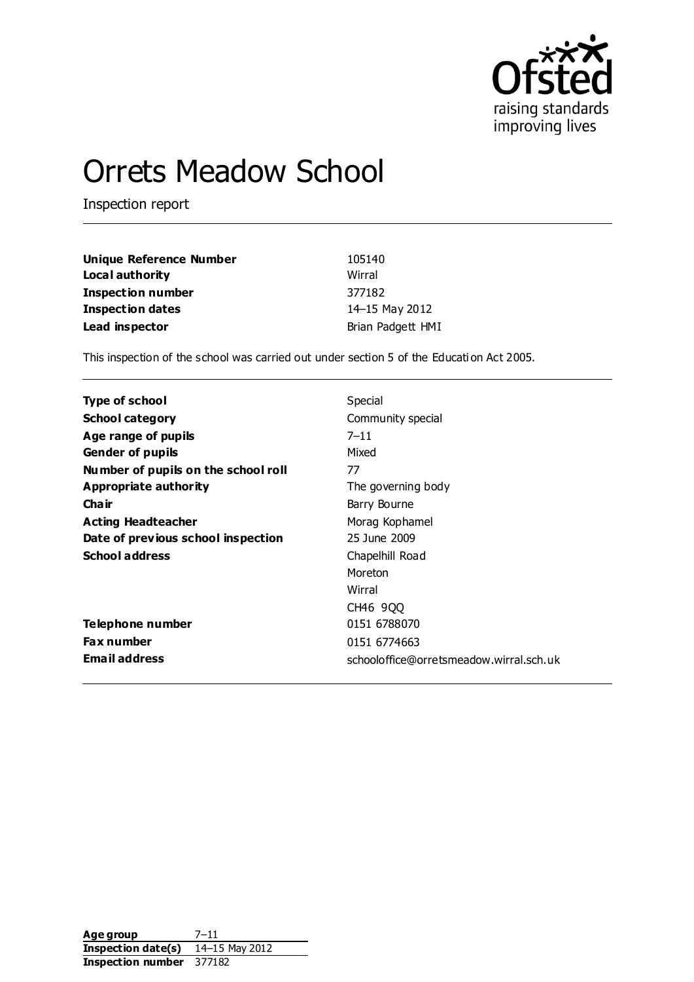

# Orrets Meadow School

Inspection report

| Unique Reference Number  | 105140            |
|--------------------------|-------------------|
| Local authority          | Wirral            |
| <b>Inspection number</b> | 377182            |
| Inspection dates         | 14-15 May 2012    |
| Lead inspector           | Brian Padgett HMI |

This inspection of the school was carried out under section 5 of the Educati on Act 2005.

| Type of school                      | Special                                 |
|-------------------------------------|-----------------------------------------|
| <b>School category</b>              | Community special                       |
| Age range of pupils                 | $7 - 11$                                |
| <b>Gender of pupils</b>             | Mixed                                   |
| Number of pupils on the school roll | 77                                      |
| Appropriate authority               | The governing body                      |
| Cha ir                              | Barry Bourne                            |
| <b>Acting Headteacher</b>           | Morag Kophamel                          |
| Date of previous school inspection  | 25 June 2009                            |
| <b>School address</b>               | Chapelhill Road                         |
|                                     | Moreton                                 |
|                                     | Wirral                                  |
|                                     | CH46 900                                |
| Telephone number                    | 0151 6788070                            |
| <b>Fax number</b>                   | 0151 6774663                            |
| <b>Email address</b>                | schooloffice@orretsmeadow.wirral.sch.uk |

**Age group** 7–11 **Inspection date(s)** 14–15 May 2012 **Inspection number** 377182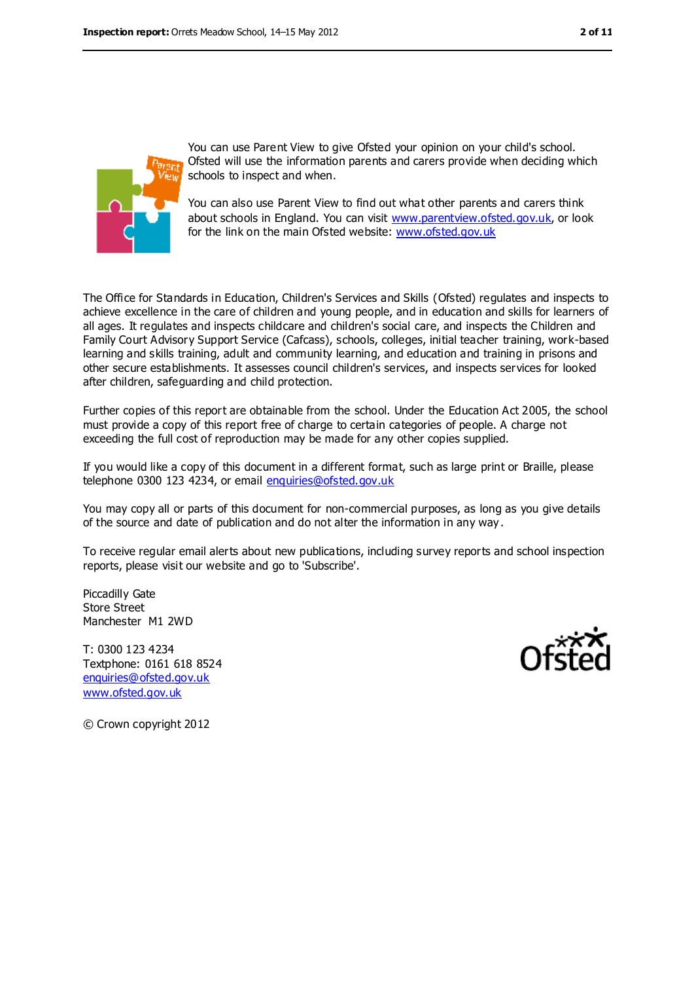

You can use Parent View to give Ofsted your opinion on your child's school. Ofsted will use the information parents and carers provide when deciding which schools to inspect and when.

You can also use Parent View to find out what other parents and carers think about schools in England. You can visit [www.parentview.ofsted.gov.uk,](../../../../../../../../../../bpadgett/AppData/Local/Microsoft/Windows/Temporary%20Internet%20Files/Content.IE5/I81WO4AD/www.parentview.ofsted.gov.uk) or look for the link on the main Ofsted website: [www.ofsted.gov.uk](../../../../../../../../../../bpadgett/AppData/Local/Microsoft/Windows/Temporary%20Internet%20Files/Content.IE5/I81WO4AD/www.ofsted.gov.uk)

The Office for Standards in Education, Children's Services and Skills (Ofsted) regulates and inspects to achieve excellence in the care of children and young people, and in education and skills for learners of all ages. It regulates and inspects childcare and children's social care, and inspects the Children and Family Court Advisory Support Service (Cafcass), schools, colleges, initial teacher training, work-based learning and skills training, adult and community learning, and education and training in prisons and other secure establishments. It assesses council children's services, and inspects services for looked after children, safeguarding and child protection.

Further copies of this report are obtainable from the school. Under the Education Act 2005, the school must provide a copy of this report free of charge to certain categories of people. A charge not exceeding the full cost of reproduction may be made for any other copies supplied.

If you would like a copy of this document in a different format, such as large print or Braille, please telephone 0300 123 4234, or email [enquiries@ofsted.gov.uk](mailto:enquiries@ofsted.gov.uk)

You may copy all or parts of this document for non-commercial purposes, as long as you give details of the source and date of publication and do not alter the information in any way .

To receive regular email alerts about new publications, including survey reports and school inspection reports, please visit our website and go to 'Subscribe'.

Piccadilly Gate Store Street Manchester M1 2WD

T: 0300 123 4234 Textphone: 0161 618 8524 [enquiries@ofsted.gov.uk](mailto:enquiries@ofsted.gov.uk) [www.ofsted.gov.uk](http://www.ofsted.gov.uk/)



© Crown copyright 2012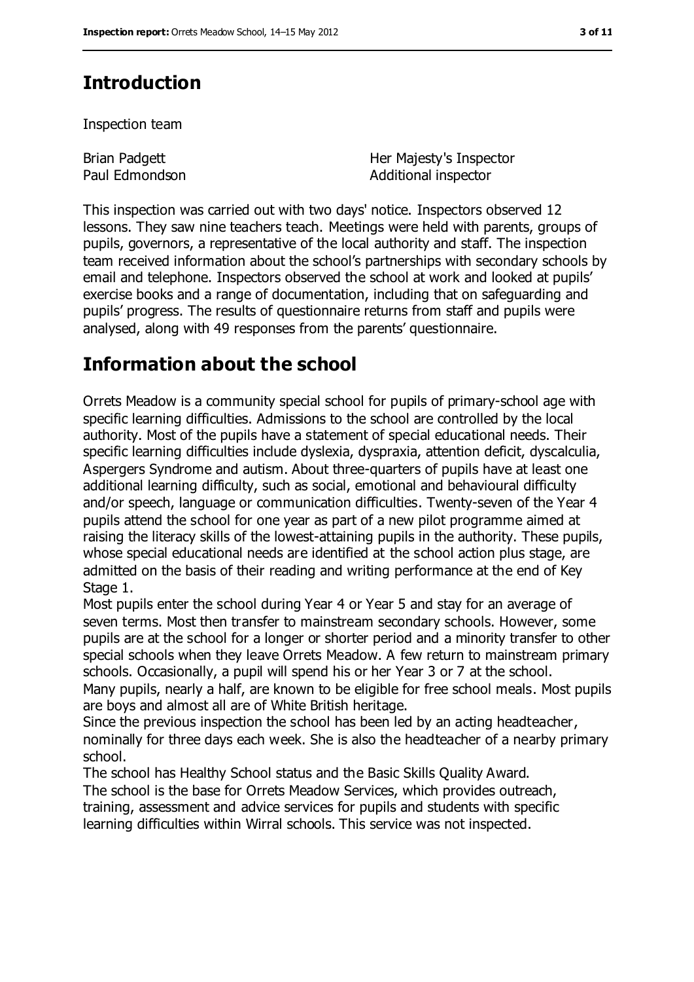### **Introduction**

Inspection team

Brian Padgett Paul Edmondson Her Majesty's Inspector Additional inspector

This inspection was carried out with two days' notice. Inspectors observed 12 lessons. They saw nine teachers teach. Meetings were held with parents, groups of pupils, governors, a representative of the local authority and staff. The inspection team received information about the school's partnerships with secondary schools by email and telephone. Inspectors observed the school at work and looked at pupils' exercise books and a range of documentation, including that on safeguarding and pupils' progress. The results of questionnaire returns from staff and pupils were analysed, along with 49 responses from the parents' questionnaire.

### **Information about the school**

Orrets Meadow is a community special school for pupils of primary-school age with specific learning difficulties. Admissions to the school are controlled by the local authority. Most of the pupils have a statement of special educational needs. Their specific learning difficulties include dyslexia, dyspraxia, attention deficit, dyscalculia, Aspergers Syndrome and autism. About three-quarters of pupils have at least one additional learning difficulty, such as social, emotional and behavioural difficulty and/or speech, language or communication difficulties. Twenty-seven of the Year 4 pupils attend the school for one year as part of a new pilot programme aimed at raising the literacy skills of the lowest-attaining pupils in the authority. These pupils, whose special educational needs are identified at the school action plus stage, are admitted on the basis of their reading and writing performance at the end of Key Stage 1.

Most pupils enter the school during Year 4 or Year 5 and stay for an average of seven terms. Most then transfer to mainstream secondary schools. However, some pupils are at the school for a longer or shorter period and a minority transfer to other special schools when they leave Orrets Meadow. A few return to mainstream primary schools. Occasionally, a pupil will spend his or her Year 3 or 7 at the school. Many pupils, nearly a half, are known to be eligible for free school meals. Most pupils

are boys and almost all are of White British heritage. Since the previous inspection the school has been led by an acting headteacher,

nominally for three days each week. She is also the headteacher of a nearby primary school.

The school has Healthy School status and the Basic Skills Quality Award. The school is the base for Orrets Meadow Services, which provides outreach, training, assessment and advice services for pupils and students with specific learning difficulties within Wirral schools. This service was not inspected.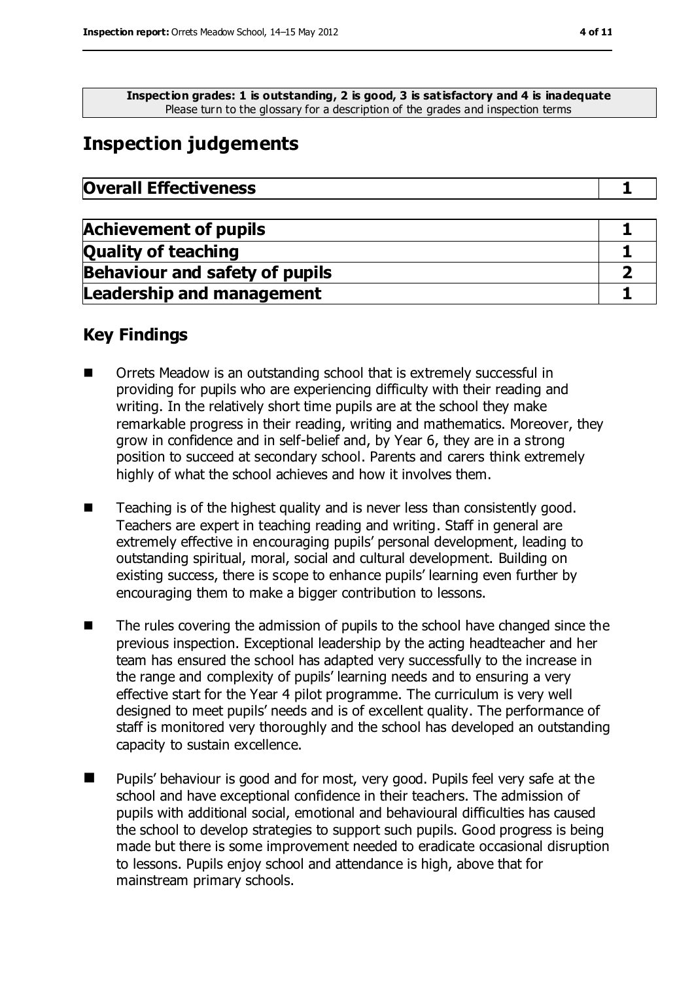**Inspection grades: 1 is outstanding, 2 is good, 3 is satisfactory and 4 is inadequate** Please turn to the glossary for a description of the grades and inspection terms

### **Inspection judgements**

| <b>Overall Effectiveness</b> |  |
|------------------------------|--|
|------------------------------|--|

| <b>Achievement of pupils</b>          |  |
|---------------------------------------|--|
| <b>Quality of teaching</b>            |  |
| <b>Behaviour and safety of pupils</b> |  |
| <b>Leadership and management</b>      |  |

#### **Key Findings**

- Orrets Meadow is an outstanding school that is extremely successful in providing for pupils who are experiencing difficulty with their reading and writing. In the relatively short time pupils are at the school they make remarkable progress in their reading, writing and mathematics. Moreover, they grow in confidence and in self-belief and, by Year 6, they are in a strong position to succeed at secondary school. Parents and carers think extremely highly of what the school achieves and how it involves them.
- Teaching is of the highest quality and is never less than consistently good. Teachers are expert in teaching reading and writing. Staff in general are extremely effective in encouraging pupils' personal development, leading to outstanding spiritual, moral, social and cultural development. Building on existing success, there is scope to enhance pupils' learning even further by encouraging them to make a bigger contribution to lessons.
- The rules covering the admission of pupils to the school have changed since the previous inspection. Exceptional leadership by the acting headteacher and her team has ensured the school has adapted very successfully to the increase in the range and complexity of pupils' learning needs and to ensuring a very effective start for the Year 4 pilot programme. The curriculum is very well designed to meet pupils' needs and is of excellent quality. The performance of staff is monitored very thoroughly and the school has developed an outstanding capacity to sustain excellence.
- Pupils' behaviour is good and for most, very good. Pupils feel very safe at the school and have exceptional confidence in their teachers. The admission of pupils with additional social, emotional and behavioural difficulties has caused the school to develop strategies to support such pupils. Good progress is being made but there is some improvement needed to eradicate occasional disruption to lessons. Pupils enjoy school and attendance is high, above that for mainstream primary schools.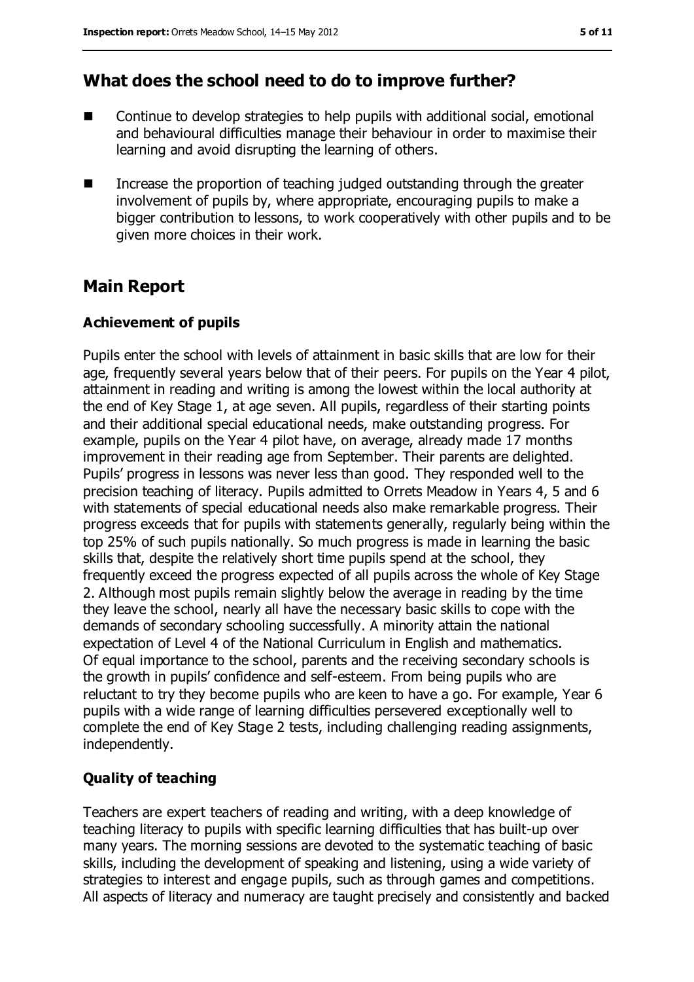### **What does the school need to do to improve further?**

- Continue to develop strategies to help pupils with additional social, emotional and behavioural difficulties manage their behaviour in order to maximise their learning and avoid disrupting the learning of others.
- Increase the proportion of teaching judged outstanding through the greater involvement of pupils by, where appropriate, encouraging pupils to make a bigger contribution to lessons, to work cooperatively with other pupils and to be given more choices in their work.

### **Main Report**

#### **Achievement of pupils**

Pupils enter the school with levels of attainment in basic skills that are low for their age, frequently several years below that of their peers. For pupils on the Year 4 pilot, attainment in reading and writing is among the lowest within the local authority at the end of Key Stage 1, at age seven. All pupils, regardless of their starting points and their additional special educational needs, make outstanding progress. For example, pupils on the Year 4 pilot have, on average, already made 17 months improvement in their reading age from September. Their parents are delighted. Pupils' progress in lessons was never less than good. They responded well to the precision teaching of literacy. Pupils admitted to Orrets Meadow in Years 4, 5 and 6 with statements of special educational needs also make remarkable progress. Their progress exceeds that for pupils with statements generally, regularly being within the top 25% of such pupils nationally. So much progress is made in learning the basic skills that, despite the relatively short time pupils spend at the school, they frequently exceed the progress expected of all pupils across the whole of Key Stage 2. Although most pupils remain slightly below the average in reading by the time they leave the school, nearly all have the necessary basic skills to cope with the demands of secondary schooling successfully. A minority attain the national expectation of Level 4 of the National Curriculum in English and mathematics. Of equal importance to the school, parents and the receiving secondary schools is the growth in pupils' confidence and self-esteem. From being pupils who are reluctant to try they become pupils who are keen to have a go. For example, Year 6 pupils with a wide range of learning difficulties persevered exceptionally well to complete the end of Key Stage 2 tests, including challenging reading assignments, independently.

#### **Quality of teaching**

Teachers are expert teachers of reading and writing, with a deep knowledge of teaching literacy to pupils with specific learning difficulties that has built-up over many years. The morning sessions are devoted to the systematic teaching of basic skills, including the development of speaking and listening, using a wide variety of strategies to interest and engage pupils, such as through games and competitions. All aspects of literacy and numeracy are taught precisely and consistently and backed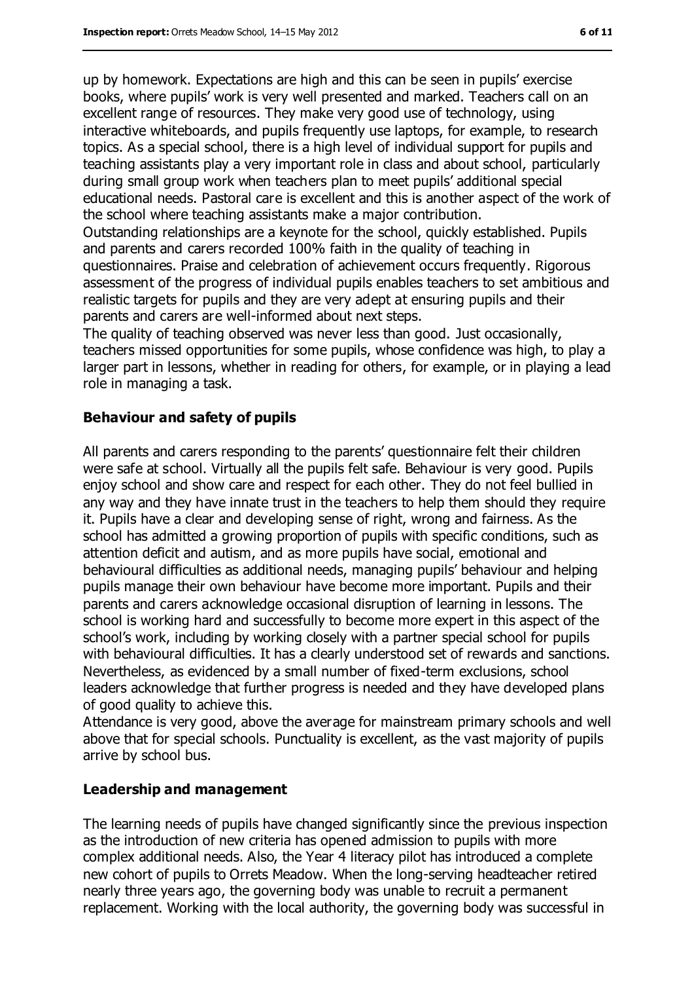up by homework. Expectations are high and this can be seen in pupils' exercise books, where pupils' work is very well presented and marked. Teachers call on an excellent range of resources. They make very good use of technology, using interactive whiteboards, and pupils frequently use laptops, for example, to research topics. As a special school, there is a high level of individual support for pupils and teaching assistants play a very important role in class and about school, particularly during small group work when teachers plan to meet pupils' additional special educational needs. Pastoral care is excellent and this is another aspect of the work of the school where teaching assistants make a major contribution.

Outstanding relationships are a keynote for the school, quickly established. Pupils and parents and carers recorded 100% faith in the quality of teaching in questionnaires. Praise and celebration of achievement occurs frequently. Rigorous assessment of the progress of individual pupils enables teachers to set ambitious and realistic targets for pupils and they are very adept at ensuring pupils and their parents and carers are well-informed about next steps.

The quality of teaching observed was never less than good. Just occasionally, teachers missed opportunities for some pupils, whose confidence was high, to play a larger part in lessons, whether in reading for others, for example, or in playing a lead role in managing a task.

#### **Behaviour and safety of pupils**

All parents and carers responding to the parents' questionnaire felt their children were safe at school. Virtually all the pupils felt safe. Behaviour is very good. Pupils enjoy school and show care and respect for each other. They do not feel bullied in any way and they have innate trust in the teachers to help them should they require it. Pupils have a clear and developing sense of right, wrong and fairness. As the school has admitted a growing proportion of pupils with specific conditions, such as attention deficit and autism, and as more pupils have social, emotional and behavioural difficulties as additional needs, managing pupils' behaviour and helping pupils manage their own behaviour have become more important. Pupils and their parents and carers acknowledge occasional disruption of learning in lessons. The school is working hard and successfully to become more expert in this aspect of the school's work, including by working closely with a partner special school for pupils with behavioural difficulties. It has a clearly understood set of rewards and sanctions. Nevertheless, as evidenced by a small number of fixed-term exclusions, school leaders acknowledge that further progress is needed and they have developed plans of good quality to achieve this.

Attendance is very good, above the average for mainstream primary schools and well above that for special schools. Punctuality is excellent, as the vast majority of pupils arrive by school bus.

#### **Leadership and management**

The learning needs of pupils have changed significantly since the previous inspection as the introduction of new criteria has opened admission to pupils with more complex additional needs. Also, the Year 4 literacy pilot has introduced a complete new cohort of pupils to Orrets Meadow. When the long-serving headteacher retired nearly three years ago, the governing body was unable to recruit a permanent replacement. Working with the local authority, the governing body was successful in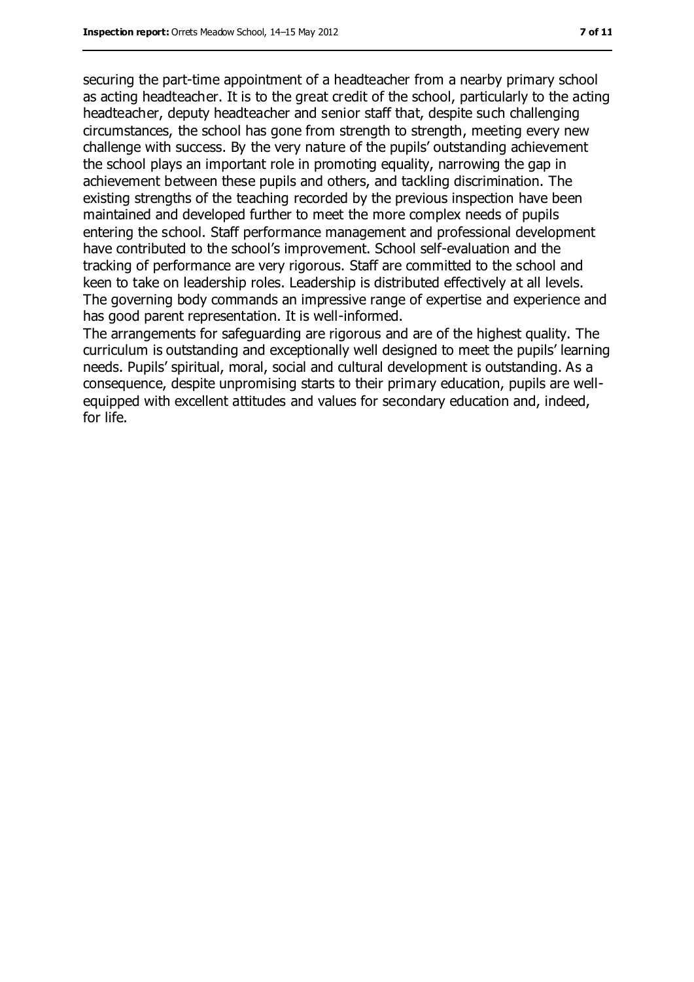securing the part-time appointment of a headteacher from a nearby primary school as acting headteacher. It is to the great credit of the school, particularly to the acting headteacher, deputy headteacher and senior staff that, despite such challenging circumstances, the school has gone from strength to strength, meeting every new challenge with success. By the very nature of the pupils' outstanding achievement the school plays an important role in promoting equality, narrowing the gap in achievement between these pupils and others, and tackling discrimination. The existing strengths of the teaching recorded by the previous inspection have been maintained and developed further to meet the more complex needs of pupils entering the school. Staff performance management and professional development have contributed to the school's improvement. School self-evaluation and the tracking of performance are very rigorous. Staff are committed to the school and keen to take on leadership roles. Leadership is distributed effectively at all levels. The governing body commands an impressive range of expertise and experience and has good parent representation. It is well-informed.

The arrangements for safeguarding are rigorous and are of the highest quality. The curriculum is outstanding and exceptionally well designed to meet the pupils' learning needs. Pupils' spiritual, moral, social and cultural development is outstanding. As a consequence, despite unpromising starts to their primary education, pupils are wellequipped with excellent attitudes and values for secondary education and, indeed, for life.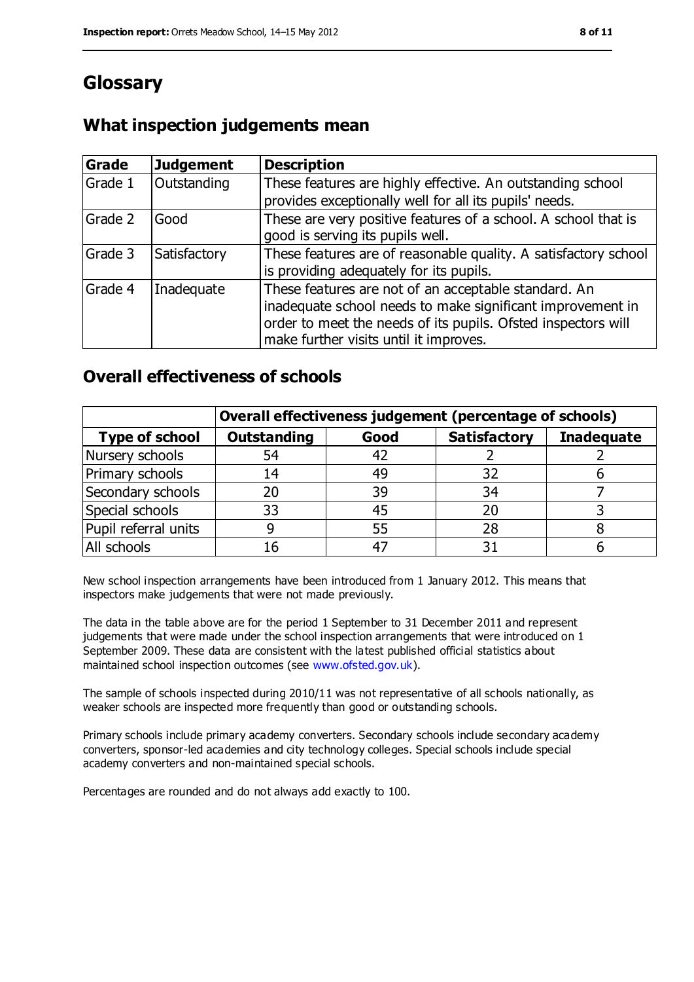### **Glossary**

#### **What inspection judgements mean**

| Grade   | <b>Judgement</b> | <b>Description</b>                                                                                                                                                                                                            |
|---------|------------------|-------------------------------------------------------------------------------------------------------------------------------------------------------------------------------------------------------------------------------|
| Grade 1 | Outstanding      | These features are highly effective. An outstanding school<br>provides exceptionally well for all its pupils' needs.                                                                                                          |
| Grade 2 | Good             | These are very positive features of a school. A school that is<br>good is serving its pupils well.                                                                                                                            |
| Grade 3 | Satisfactory     | These features are of reasonable quality. A satisfactory school<br>is providing adequately for its pupils.                                                                                                                    |
| Grade 4 | Inadequate       | These features are not of an acceptable standard. An<br>inadequate school needs to make significant improvement in<br>order to meet the needs of its pupils. Ofsted inspectors will<br>make further visits until it improves. |

#### **Overall effectiveness of schools**

|                       | Overall effectiveness judgement (percentage of schools) |      |                     |                   |
|-----------------------|---------------------------------------------------------|------|---------------------|-------------------|
| <b>Type of school</b> | <b>Outstanding</b>                                      | Good | <b>Satisfactory</b> | <b>Inadequate</b> |
| Nursery schools       | 54                                                      | 42   |                     |                   |
| Primary schools       | 14                                                      | 49   | 32                  |                   |
| Secondary schools     | 20                                                      | 39   | 34                  |                   |
| Special schools       | 33                                                      | 45   |                     |                   |
| Pupil referral units  | 9                                                       | 55   | 28                  |                   |
| All schools           | 16                                                      | -47  |                     |                   |

New school inspection arrangements have been introduced from 1 January 2012. This means that inspectors make judgements that were not made previously.

The data in the table above are for the period 1 September to 31 December 2011 and represent judgements that were made under the school inspection arrangements that were introduced on 1 September 2009. These data are consistent with the latest published official statistics about maintained school inspection outcomes (see [www.ofsted.gov.uk\)](../../../../../../../../../../bpadgett/AppData/Local/Microsoft/Windows/Temporary%20Internet%20Files/Content.IE5/I81WO4AD/www.ofsted.gov.uk).

The sample of schools inspected during 2010/11 was not representative of all schools nationally, as weaker schools are inspected more frequently than good or outstanding schools.

Primary schools include primary academy converters. Secondary schools include secondary academy converters, sponsor-led academies and city technology colleges. Special schools include special academy converters and non-maintained special schools.

Percentages are rounded and do not always add exactly to 100.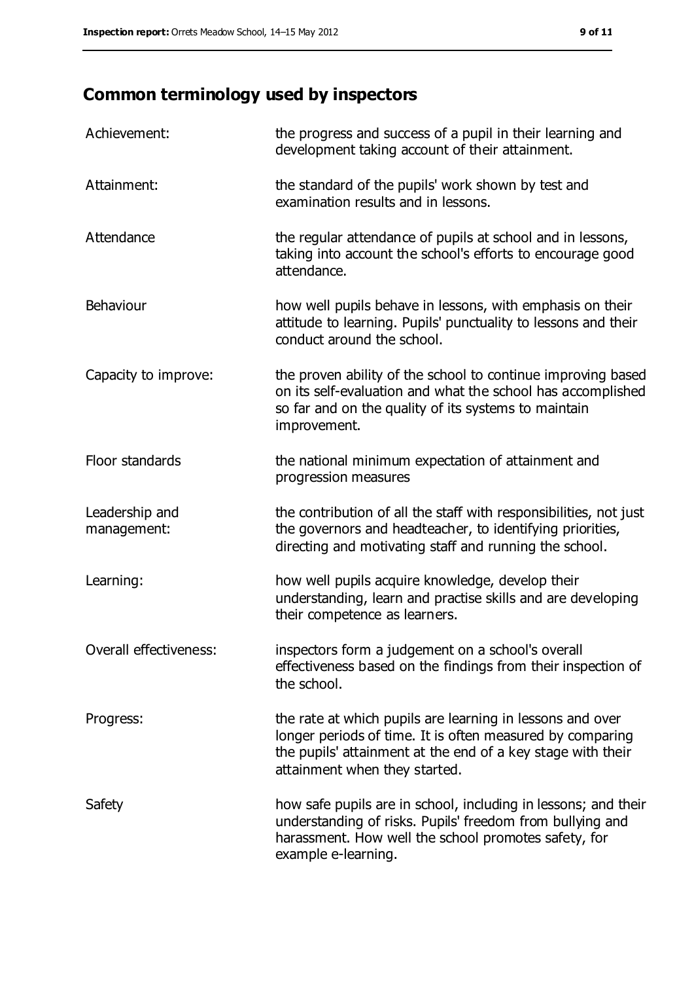## **Common terminology used by inspectors**

| Achievement:                  | the progress and success of a pupil in their learning and<br>development taking account of their attainment.                                                                                                           |
|-------------------------------|------------------------------------------------------------------------------------------------------------------------------------------------------------------------------------------------------------------------|
| Attainment:                   | the standard of the pupils' work shown by test and<br>examination results and in lessons.                                                                                                                              |
| Attendance                    | the regular attendance of pupils at school and in lessons,<br>taking into account the school's efforts to encourage good<br>attendance.                                                                                |
| Behaviour                     | how well pupils behave in lessons, with emphasis on their<br>attitude to learning. Pupils' punctuality to lessons and their<br>conduct around the school.                                                              |
| Capacity to improve:          | the proven ability of the school to continue improving based<br>on its self-evaluation and what the school has accomplished<br>so far and on the quality of its systems to maintain<br>improvement.                    |
| Floor standards               | the national minimum expectation of attainment and<br>progression measures                                                                                                                                             |
| Leadership and<br>management: | the contribution of all the staff with responsibilities, not just<br>the governors and headteacher, to identifying priorities,<br>directing and motivating staff and running the school.                               |
| Learning:                     | how well pupils acquire knowledge, develop their<br>understanding, learn and practise skills and are developing<br>their competence as learners.                                                                       |
| Overall effectiveness:        | inspectors form a judgement on a school's overall<br>effectiveness based on the findings from their inspection of<br>the school.                                                                                       |
| Progress:                     | the rate at which pupils are learning in lessons and over<br>longer periods of time. It is often measured by comparing<br>the pupils' attainment at the end of a key stage with their<br>attainment when they started. |
| Safety                        | how safe pupils are in school, including in lessons; and their<br>understanding of risks. Pupils' freedom from bullying and<br>harassment. How well the school promotes safety, for<br>example e-learning.             |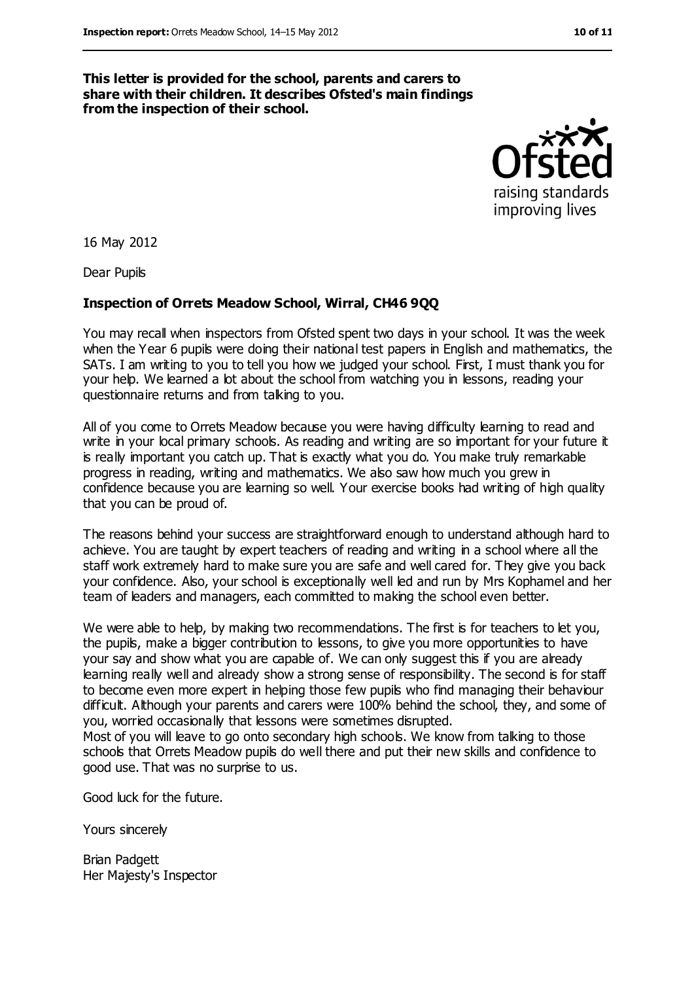**This letter is provided for the school, parents and carers to share with their children. It describes Ofsted's main findings from the inspection of their school.**



16 May 2012

Dear Pupils

#### **Inspection of Orrets Meadow School, Wirral, CH46 9QQ**

You may recall when inspectors from Ofsted spent two days in your school. It was the week when the Year 6 pupils were doing their national test papers in English and mathematics, the SATs. I am writing to you to tell you how we judged your school. First, I must thank you for your help. We learned a lot about the school from watching you in lessons, reading your questionnaire returns and from talking to you.

All of you come to Orrets Meadow because you were having difficulty learning to read and write in your local primary schools. As reading and writing are so important for your future it is really important you catch up. That is exactly what you do. You make truly remarkable progress in reading, writing and mathematics. We also saw how much you grew in confidence because you are learning so well. Your exercise books had writing of high quality that you can be proud of.

The reasons behind your success are straightforward enough to understand although hard to achieve. You are taught by expert teachers of reading and writing in a school where all the staff work extremely hard to make sure you are safe and well cared for. They give you back your confidence. Also, your school is exceptionally well led and run by Mrs Kophamel and her team of leaders and managers, each committed to making the school even better.

We were able to help, by making two recommendations. The first is for teachers to let you, the pupils, make a bigger contribution to lessons, to give you more opportunities to have your say and show what you are capable of. We can only suggest this if you are already learning really well and already show a strong sense of responsibility. The second is for staff to become even more expert in helping those few pupils who find managing their behaviour difficult. Although your parents and carers were 100% behind the school, they, and some of you, worried occasionally that lessons were sometimes disrupted.

Most of you will leave to go onto secondary high schools. We know from talking to those schools that Orrets Meadow pupils do well there and put their new skills and confidence to good use. That was no surprise to us.

Good luck for the future.

Yours sincerely

Brian Padgett Her Majesty's Inspector